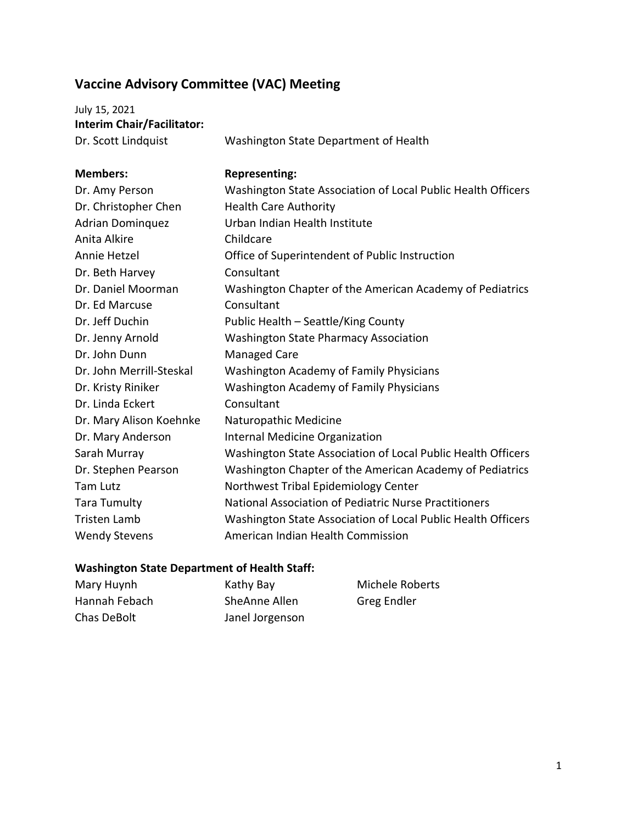## **Vaccine Advisory Committee (VAC) Meeting**

July 15, 2021 **Interim Chair/Facilitator:**

Dr. Scott Lindquist Washington State Department of Health

| <b>Members:</b>          | <b>Representing:</b>                                         |
|--------------------------|--------------------------------------------------------------|
| Dr. Amy Person           | Washington State Association of Local Public Health Officers |
| Dr. Christopher Chen     | <b>Health Care Authority</b>                                 |
| <b>Adrian Dominquez</b>  | Urban Indian Health Institute                                |
| Anita Alkire             | Childcare                                                    |
| Annie Hetzel             | Office of Superintendent of Public Instruction               |
| Dr. Beth Harvey          | Consultant                                                   |
| Dr. Daniel Moorman       | Washington Chapter of the American Academy of Pediatrics     |
| Dr. Ed Marcuse           | Consultant                                                   |
| Dr. Jeff Duchin          | Public Health - Seattle/King County                          |
| Dr. Jenny Arnold         | <b>Washington State Pharmacy Association</b>                 |
| Dr. John Dunn            | <b>Managed Care</b>                                          |
| Dr. John Merrill-Steskal | <b>Washington Academy of Family Physicians</b>               |
| Dr. Kristy Riniker       | Washington Academy of Family Physicians                      |
| Dr. Linda Eckert         | Consultant                                                   |
| Dr. Mary Alison Koehnke  | Naturopathic Medicine                                        |
| Dr. Mary Anderson        | <b>Internal Medicine Organization</b>                        |
| Sarah Murray             | Washington State Association of Local Public Health Officers |
| Dr. Stephen Pearson      | Washington Chapter of the American Academy of Pediatrics     |
| <b>Tam Lutz</b>          | Northwest Tribal Epidemiology Center                         |
| <b>Tara Tumulty</b>      | National Association of Pediatric Nurse Practitioners        |
| <b>Tristen Lamb</b>      | Washington State Association of Local Public Health Officers |
| <b>Wendy Stevens</b>     | American Indian Health Commission                            |

## **Washington State Department of Health Staff:**

| Mary Huynh    | Kathy Bay       | Michele Roberts |
|---------------|-----------------|-----------------|
| Hannah Febach | SheAnne Allen   | Greg Endler     |
| Chas DeBolt   | Janel Jorgenson |                 |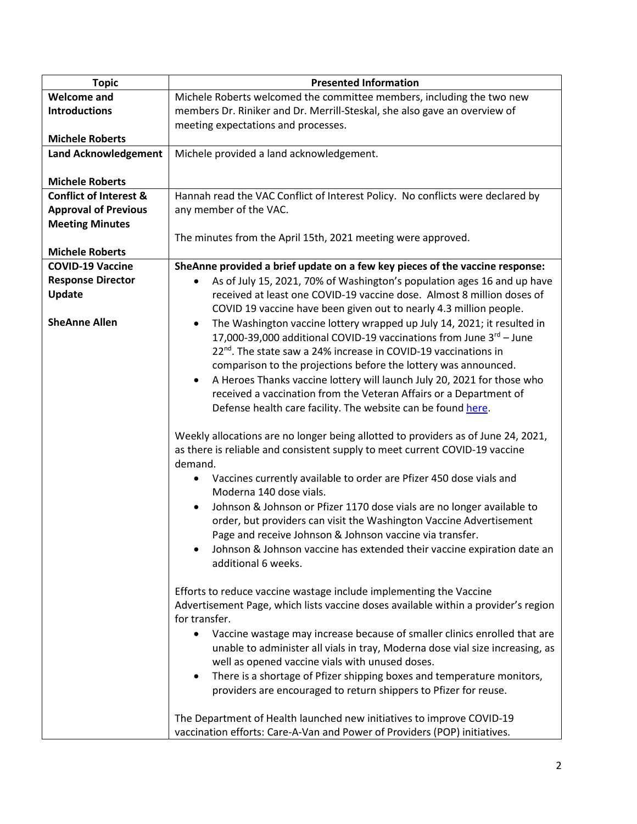| <b>Topic</b>                      | <b>Presented Information</b>                                                         |
|-----------------------------------|--------------------------------------------------------------------------------------|
| <b>Welcome and</b>                | Michele Roberts welcomed the committee members, including the two new                |
| <b>Introductions</b>              | members Dr. Riniker and Dr. Merrill-Steskal, she also gave an overview of            |
|                                   | meeting expectations and processes.                                                  |
| <b>Michele Roberts</b>            |                                                                                      |
| <b>Land Acknowledgement</b>       | Michele provided a land acknowledgement.                                             |
|                                   |                                                                                      |
| <b>Michele Roberts</b>            |                                                                                      |
| <b>Conflict of Interest &amp;</b> | Hannah read the VAC Conflict of Interest Policy. No conflicts were declared by       |
| <b>Approval of Previous</b>       | any member of the VAC.                                                               |
| <b>Meeting Minutes</b>            |                                                                                      |
|                                   | The minutes from the April 15th, 2021 meeting were approved.                         |
| <b>Michele Roberts</b>            |                                                                                      |
| <b>COVID-19 Vaccine</b>           | SheAnne provided a brief update on a few key pieces of the vaccine response:         |
| <b>Response Director</b>          | As of July 15, 2021, 70% of Washington's population ages 16 and up have<br>$\bullet$ |
| <b>Update</b>                     | received at least one COVID-19 vaccine dose. Almost 8 million doses of               |
|                                   | COVID 19 vaccine have been given out to nearly 4.3 million people.                   |
| <b>SheAnne Allen</b>              | The Washington vaccine lottery wrapped up July 14, 2021; it resulted in<br>$\bullet$ |
|                                   | 17,000-39,000 additional COVID-19 vaccinations from June 3rd - June                  |
|                                   | 22 <sup>nd</sup> . The state saw a 24% increase in COVID-19 vaccinations in          |
|                                   | comparison to the projections before the lottery was announced.                      |
|                                   | A Heroes Thanks vaccine lottery will launch July 20, 2021 for those who<br>$\bullet$ |
|                                   | received a vaccination from the Veteran Affairs or a Department of                   |
|                                   | Defense health care facility. The website can be found here.                         |
|                                   |                                                                                      |
|                                   | Weekly allocations are no longer being allotted to providers as of June 24, 2021,    |
|                                   | as there is reliable and consistent supply to meet current COVID-19 vaccine          |
|                                   | demand.                                                                              |
|                                   | Vaccines currently available to order are Pfizer 450 dose vials and                  |
|                                   | Moderna 140 dose vials.                                                              |
|                                   | Johnson & Johnson or Pfizer 1170 dose vials are no longer available to<br>$\bullet$  |
|                                   | order, but providers can visit the Washington Vaccine Advertisement                  |
|                                   | Page and receive Johnson & Johnson vaccine via transfer.                             |
|                                   | Johnson & Johnson vaccine has extended their vaccine expiration date an              |
|                                   | additional 6 weeks.                                                                  |
|                                   |                                                                                      |
|                                   | Efforts to reduce vaccine wastage include implementing the Vaccine                   |
|                                   | Advertisement Page, which lists vaccine doses available within a provider's region   |
|                                   | for transfer.                                                                        |
|                                   | Vaccine wastage may increase because of smaller clinics enrolled that are            |
|                                   | unable to administer all vials in tray, Moderna dose vial size increasing, as        |
|                                   | well as opened vaccine vials with unused doses.                                      |
|                                   | There is a shortage of Pfizer shipping boxes and temperature monitors,<br>$\bullet$  |
|                                   | providers are encouraged to return shippers to Pfizer for reuse.                     |
|                                   |                                                                                      |
|                                   | The Department of Health launched new initiatives to improve COVID-19                |
|                                   | vaccination efforts: Care-A-Van and Power of Providers (POP) initiatives.            |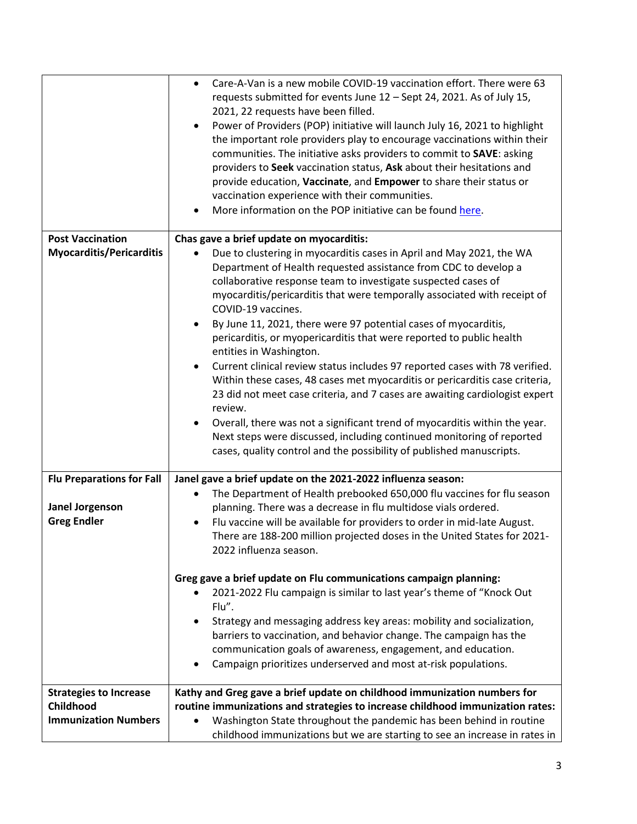|                                  | Care-A-Van is a new mobile COVID-19 vaccination effort. There were 63<br>$\bullet$<br>requests submitted for events June 12 - Sept 24, 2021. As of July 15,<br>2021, 22 requests have been filled.<br>Power of Providers (POP) initiative will launch July 16, 2021 to highlight<br>the important role providers play to encourage vaccinations within their<br>communities. The initiative asks providers to commit to SAVE: asking<br>providers to Seek vaccination status, Ask about their hesitations and<br>provide education, Vaccinate, and Empower to share their status or<br>vaccination experience with their communities.<br>More information on the POP initiative can be found here. |
|----------------------------------|----------------------------------------------------------------------------------------------------------------------------------------------------------------------------------------------------------------------------------------------------------------------------------------------------------------------------------------------------------------------------------------------------------------------------------------------------------------------------------------------------------------------------------------------------------------------------------------------------------------------------------------------------------------------------------------------------|
| <b>Post Vaccination</b>          | Chas gave a brief update on myocarditis:                                                                                                                                                                                                                                                                                                                                                                                                                                                                                                                                                                                                                                                           |
| <b>Myocarditis/Pericarditis</b>  | Due to clustering in myocarditis cases in April and May 2021, the WA<br>$\bullet$                                                                                                                                                                                                                                                                                                                                                                                                                                                                                                                                                                                                                  |
|                                  | Department of Health requested assistance from CDC to develop a                                                                                                                                                                                                                                                                                                                                                                                                                                                                                                                                                                                                                                    |
|                                  | collaborative response team to investigate suspected cases of                                                                                                                                                                                                                                                                                                                                                                                                                                                                                                                                                                                                                                      |
|                                  | myocarditis/pericarditis that were temporally associated with receipt of<br>COVID-19 vaccines.                                                                                                                                                                                                                                                                                                                                                                                                                                                                                                                                                                                                     |
|                                  | By June 11, 2021, there were 97 potential cases of myocarditis,<br>$\bullet$                                                                                                                                                                                                                                                                                                                                                                                                                                                                                                                                                                                                                       |
|                                  | pericarditis, or myopericarditis that were reported to public health<br>entities in Washington.                                                                                                                                                                                                                                                                                                                                                                                                                                                                                                                                                                                                    |
|                                  | Current clinical review status includes 97 reported cases with 78 verified.                                                                                                                                                                                                                                                                                                                                                                                                                                                                                                                                                                                                                        |
|                                  | Within these cases, 48 cases met myocarditis or pericarditis case criteria,                                                                                                                                                                                                                                                                                                                                                                                                                                                                                                                                                                                                                        |
|                                  | 23 did not meet case criteria, and 7 cases are awaiting cardiologist expert                                                                                                                                                                                                                                                                                                                                                                                                                                                                                                                                                                                                                        |
|                                  | review.                                                                                                                                                                                                                                                                                                                                                                                                                                                                                                                                                                                                                                                                                            |
|                                  | Overall, there was not a significant trend of myocarditis within the year.                                                                                                                                                                                                                                                                                                                                                                                                                                                                                                                                                                                                                         |
|                                  | Next steps were discussed, including continued monitoring of reported                                                                                                                                                                                                                                                                                                                                                                                                                                                                                                                                                                                                                              |
|                                  | cases, quality control and the possibility of published manuscripts.                                                                                                                                                                                                                                                                                                                                                                                                                                                                                                                                                                                                                               |
| <b>Flu Preparations for Fall</b> | Janel gave a brief update on the 2021-2022 influenza season:                                                                                                                                                                                                                                                                                                                                                                                                                                                                                                                                                                                                                                       |
|                                  | The Department of Health prebooked 650,000 flu vaccines for flu season                                                                                                                                                                                                                                                                                                                                                                                                                                                                                                                                                                                                                             |
| Janel Jorgenson                  | planning. There was a decrease in flu multidose vials ordered.                                                                                                                                                                                                                                                                                                                                                                                                                                                                                                                                                                                                                                     |
| <b>Greg Endler</b>               | Flu vaccine will be available for providers to order in mid-late August.                                                                                                                                                                                                                                                                                                                                                                                                                                                                                                                                                                                                                           |
|                                  | There are 188-200 million projected doses in the United States for 2021-                                                                                                                                                                                                                                                                                                                                                                                                                                                                                                                                                                                                                           |
|                                  | 2022 influenza season.                                                                                                                                                                                                                                                                                                                                                                                                                                                                                                                                                                                                                                                                             |
|                                  | Greg gave a brief update on Flu communications campaign planning:                                                                                                                                                                                                                                                                                                                                                                                                                                                                                                                                                                                                                                  |
|                                  | 2021-2022 Flu campaign is similar to last year's theme of "Knock Out<br>Flu".                                                                                                                                                                                                                                                                                                                                                                                                                                                                                                                                                                                                                      |
|                                  | Strategy and messaging address key areas: mobility and socialization,<br>$\bullet$                                                                                                                                                                                                                                                                                                                                                                                                                                                                                                                                                                                                                 |
|                                  | barriers to vaccination, and behavior change. The campaign has the                                                                                                                                                                                                                                                                                                                                                                                                                                                                                                                                                                                                                                 |
|                                  | communication goals of awareness, engagement, and education.                                                                                                                                                                                                                                                                                                                                                                                                                                                                                                                                                                                                                                       |
|                                  | Campaign prioritizes underserved and most at-risk populations.<br>$\bullet$                                                                                                                                                                                                                                                                                                                                                                                                                                                                                                                                                                                                                        |
|                                  |                                                                                                                                                                                                                                                                                                                                                                                                                                                                                                                                                                                                                                                                                                    |
| <b>Strategies to Increase</b>    | Kathy and Greg gave a brief update on childhood immunization numbers for                                                                                                                                                                                                                                                                                                                                                                                                                                                                                                                                                                                                                           |
| Childhood                        | routine immunizations and strategies to increase childhood immunization rates:                                                                                                                                                                                                                                                                                                                                                                                                                                                                                                                                                                                                                     |
| <b>Immunization Numbers</b>      | Washington State throughout the pandemic has been behind in routine<br>$\bullet$                                                                                                                                                                                                                                                                                                                                                                                                                                                                                                                                                                                                                   |
|                                  | childhood immunizations but we are starting to see an increase in rates in                                                                                                                                                                                                                                                                                                                                                                                                                                                                                                                                                                                                                         |